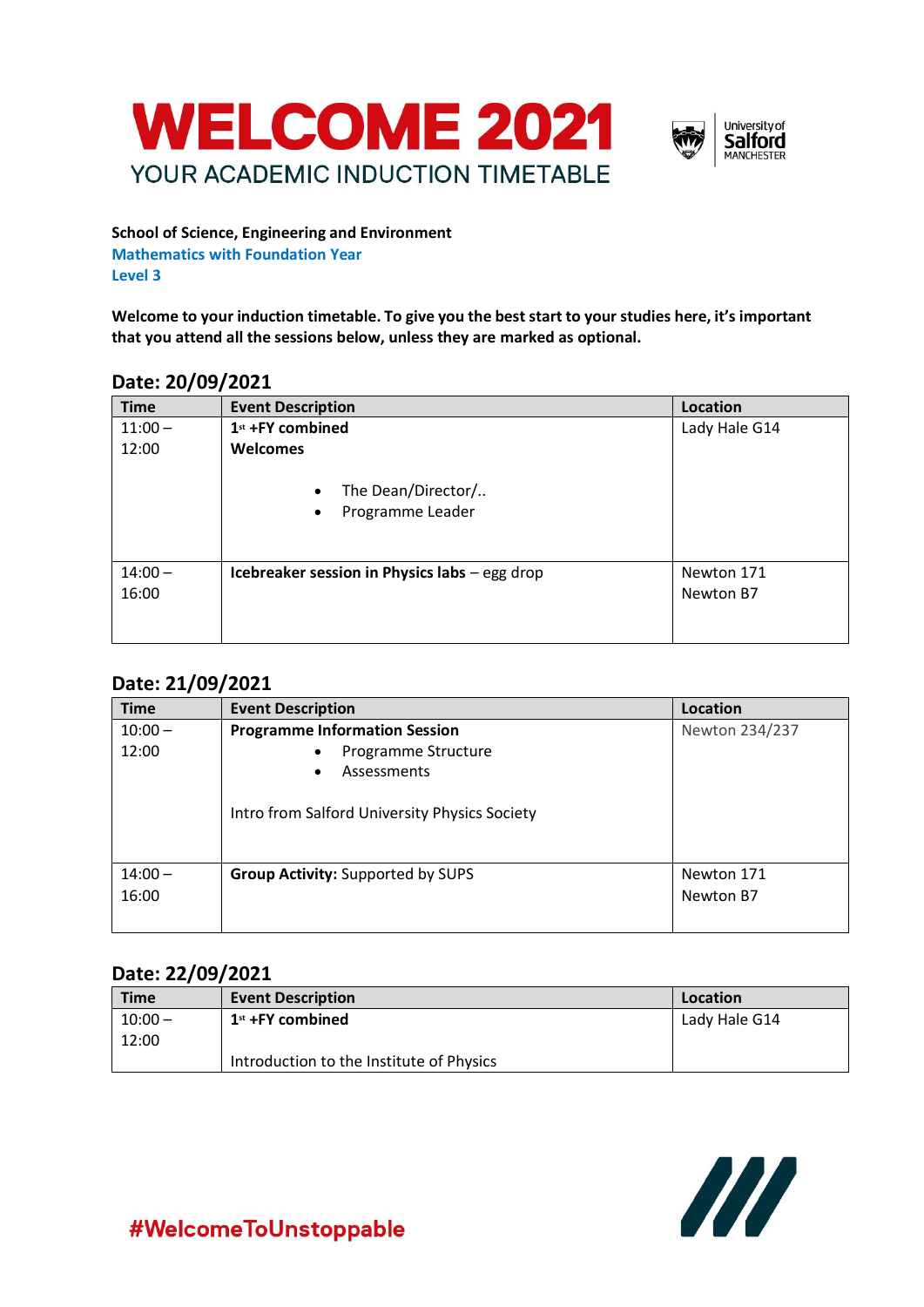



**School of Science, Engineering and Environment Mathematics with Foundation Year Level 3**

**Welcome to your induction timetable. To give you the best start to your studies here, it's important that you attend all the sessions below, unless they are marked as optional.**

#### **Date: 20/09/2021**

| <b>Time</b> | <b>Event Description</b>                                         | Location      |
|-------------|------------------------------------------------------------------|---------------|
| $11:00 -$   | 1st +FY combined                                                 | Lady Hale G14 |
| 12:00       | Welcomes                                                         |               |
|             | The Dean/Director/<br>$\bullet$<br>Programme Leader<br>$\bullet$ |               |
| $14:00 -$   | Icebreaker session in Physics labs - egg drop                    | Newton 171    |
| 16:00       |                                                                  | Newton B7     |
|             |                                                                  |               |

## **Date: 21/09/2021**

| <b>Time</b> | <b>Event Description</b>                      | Location       |
|-------------|-----------------------------------------------|----------------|
| $10:00 -$   | <b>Programme Information Session</b>          | Newton 234/237 |
| 12:00       | Programme Structure<br>$\bullet$              |                |
|             | Assessments<br>$\bullet$                      |                |
|             | Intro from Salford University Physics Society |                |
| $14:00 -$   | <b>Group Activity: Supported by SUPS</b>      | Newton 171     |
| 16:00       |                                               | Newton B7      |
|             |                                               |                |

## **Date: 22/09/2021**

| <b>Time</b> | <b>Event Description</b>                 | Location      |
|-------------|------------------------------------------|---------------|
| $10:00 -$   | $1st + FY$ combined                      | Lady Hale G14 |
| 12:00       |                                          |               |
|             | Introduction to the Institute of Physics |               |



## #WelcomeToUnstoppable